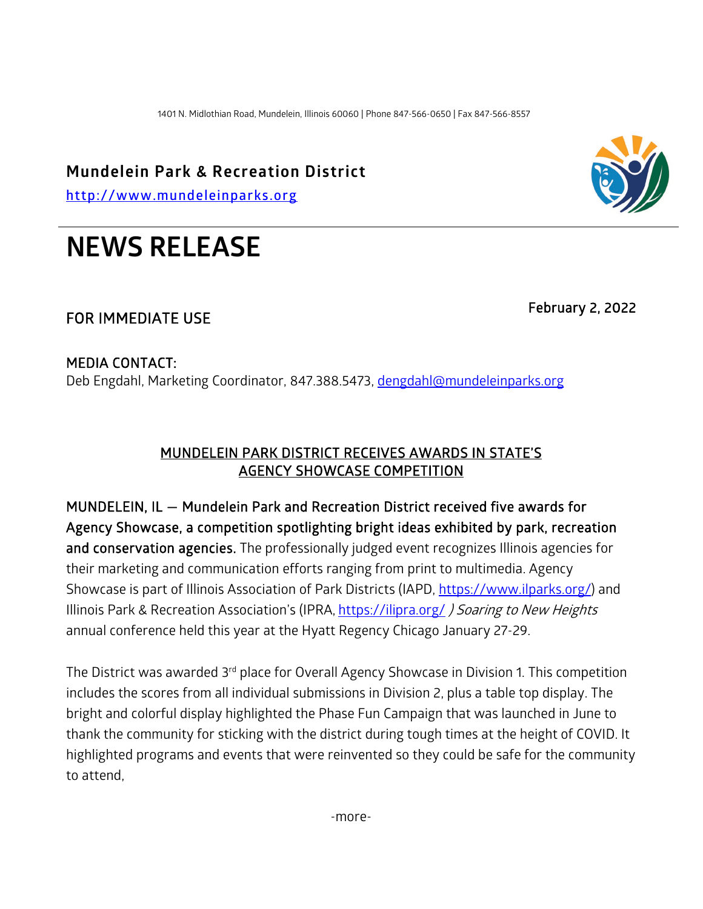1401 N. Midlothian Road, Mundelein, Illinois 60060 | Phone 847-566-0650 | Fax 847-566-8557

**Mundelein Park & Recreation District**

**[http://www.mundeleinparks.org](http://www.mundeleinparks.org/)**

# **NEWS RELEASE**

# FOR IMMEDIATE USE February 2, 2022

#### MEDIA CONTACT:

Deb Engdahl, Marketing Coordinator, 847.388.5473, [dengdahl@mundeleinparks.org](mailto:dengdahl@mundeleinparks.org)

## MUNDELEIN PARK DISTRICT RECEIVES AWARDS IN STATE'S AGENCY SHOWCASE COMPETITION

MUNDELEIN, IL — Mundelein Park and Recreation District received five awards for Agency Showcase, a competition spotlighting bright ideas exhibited by park, recreation and conservation agencies. The professionally judged event recognizes Illinois agencies for their marketing and communication efforts ranging from print to multimedia. Agency Showcase is part of Illinois Association of Park Districts (IAPD, [https://www.ilparks.org/\)](https://www.ilparks.org/) and Illinois Park & Recreation Association's (IPRA, <https://ilipra.org/> ) Soaring to New Heights annual conference held this year at the Hyatt Regency Chicago January 27-29.

The District was awarded 3<sup>rd</sup> place for Overall Agency Showcase in Division 1. This competition includes the scores from all individual submissions in Division 2, plus a table top display. The bright and colorful display highlighted the Phase Fun Campaign that was launched in June to thank the community for sticking with the district during tough times at the height of COVID. It highlighted programs and events that were reinvented so they could be safe for the community to attend,

-more-

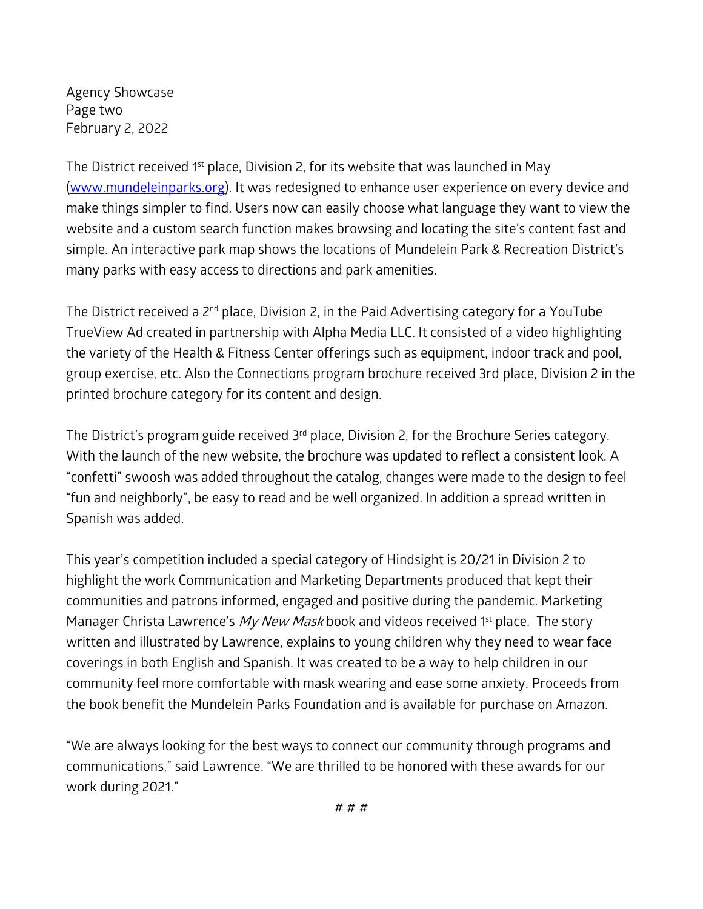Agency Showcase Page two February 2, 2022

The District received 1<sup>st</sup> place, Division 2, for its website that was launched in May [\(www.mundeleinparks.org\)](http://www.mundeleinparks.org/). It was redesigned to enhance user experience on every device and make things simpler to find. Users now can easily choose what language they want to view the website and a custom search function makes browsing and locating the site's content fast and simple. An interactive park map shows the locations of Mundelein Park & Recreation District's many parks with easy access to directions and park amenities.

The District received a 2<sup>nd</sup> place, Division 2, in the Paid Advertising category for a YouTube TrueView Ad created in partnership with Alpha Media LLC. It consisted of a video highlighting the variety of the Health & Fitness Center offerings such as equipment, indoor track and pool, group exercise, etc. Also the Connections program brochure received 3rd place, Division 2 in the printed brochure category for its content and design.

The District's program guide received 3<sup>rd</sup> place, Division 2, for the Brochure Series category. With the launch of the new website, the brochure was updated to reflect a consistent look. A "confetti" swoosh was added throughout the catalog, changes were made to the design to feel "fun and neighborly", be easy to read and be well organized. In addition a spread written in Spanish was added.

This year's competition included a special category of Hindsight is 20/21 in Division 2 to highlight the work Communication and Marketing Departments produced that kept their communities and patrons informed, engaged and positive during the pandemic. Marketing Manager Christa Lawrence's  $My New Mask$  book and videos received 1<sup>st</sup> place. The story written and illustrated by Lawrence, explains to young children why they need to wear face coverings in both English and Spanish. It was created to be a way to help children in our community feel more comfortable with mask wearing and ease some anxiety. Proceeds from the book benefit the Mundelein Parks Foundation and is available for purchase on Amazon.

"We are always looking for the best ways to connect our community through programs and communications," said Lawrence. "We are thrilled to be honored with these awards for our work during 2021."

# # #